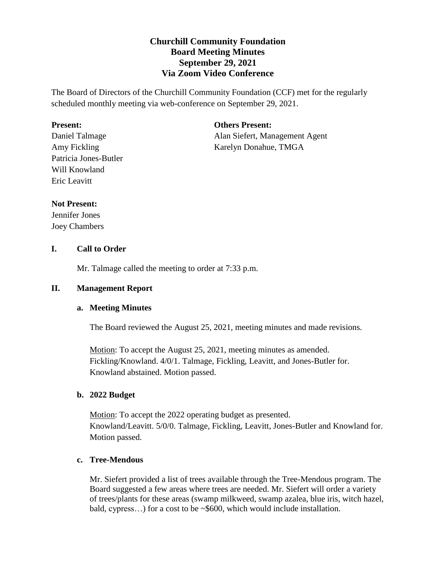# **Churchill Community Foundation Board Meeting Minutes September 29, 2021 Via Zoom Video Conference**

The Board of Directors of the Churchill Community Foundation (CCF) met for the regularly scheduled monthly meeting via web-conference on September 29, 2021.

### **Present:**

Daniel Talmage Amy Fickling Patricia Jones-Butler Will Knowland Eric Leavitt

### **Others Present:**

Alan Siefert, Management Agent Karelyn Donahue, TMGA

## **Not Present:**

Jennifer Jones Joey Chambers

## **I. Call to Order**

Mr. Talmage called the meeting to order at 7:33 p.m.

## **II. Management Report**

## **a. Meeting Minutes**

The Board reviewed the August 25, 2021, meeting minutes and made revisions.

Motion: To accept the August 25, 2021, meeting minutes as amended. Fickling/Knowland. 4/0/1. Talmage, Fickling, Leavitt, and Jones-Butler for. Knowland abstained. Motion passed.

## **b. 2022 Budget**

Motion: To accept the 2022 operating budget as presented. Knowland/Leavitt. 5/0/0. Talmage, Fickling, Leavitt, Jones-Butler and Knowland for. Motion passed.

## **c. Tree-Mendous**

Mr. Siefert provided a list of trees available through the Tree-Mendous program. The Board suggested a few areas where trees are needed. Mr. Siefert will order a variety of trees/plants for these areas (swamp milkweed, swamp azalea, blue iris, witch hazel, bald, cypress…) for a cost to be ~\$600, which would include installation.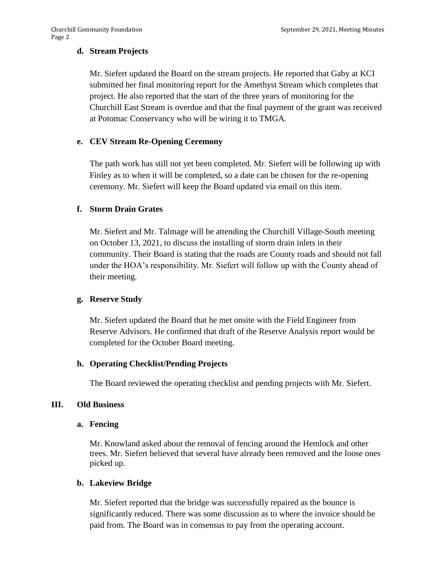### **d. Stream Projects**

Mr. Siefert updated the Board on the stream projects. He reported that Gaby at KCI submitted her final monitoring report for the Amethyst Stream which completes that project. He also reported that the start of the three years of monitoring for the Churchill East Stream is overdue and that the final payment of the grant was received at Potomac Conservancy who will be wiring it to TMGA.

#### **e. CEV Stream Re-Opening Ceremony**

The path work has still not yet been completed. Mr. Siefert will be following up with Finley as to when it will be completed, so a date can be chosen for the re-opening ceremony. Mr. Siefert will keep the Board updated via email on this item.

### **f. Storm Drain Grates**

Mr. Siefert and Mr. Talmage will be attending the Churchill Village-South meeting on October 13, 2021, to discuss the installing of storm drain inlets in their community. Their Board is stating that the roads are County roads and should not fall under the HOA's responsibility. Mr. Siefert will follow up with the County ahead of their meeting.

#### **g. Reserve Study**

Mr. Siefert updated the Board that he met onsite with the Field Engineer from Reserve Advisors. He confirmed that draft of the Reserve Analysis report would be completed for the October Board meeting.

#### **h. Operating Checklist/Pending Projects**

The Board reviewed the operating checklist and pending projects with Mr. Siefert.

#### **III. Old Business**

#### **a. Fencing**

Mr. Knowland asked about the removal of fencing around the Hemlock and other trees. Mr. Siefert believed that several have already been removed and the loose ones picked up.

#### **b. Lakeview Bridge**

Mr. Siefert reported that the bridge was successfully repaired as the bounce is significantly reduced. There was some discussion as to where the invoice should be paid from. The Board was in consensus to pay from the operating account.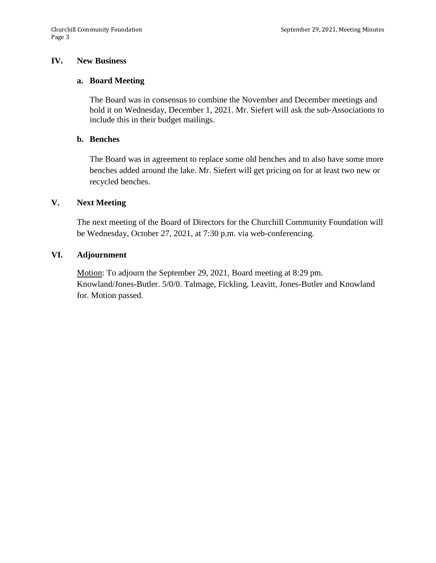#### **IV. New Business**

#### **a. Board Meeting**

The Board was in consensus to combine the November and December meetings and hold it on Wednesday, December 1, 2021. Mr. Siefert will ask the sub-Associations to include this in their budget mailings.

#### **b. Benches**

The Board was in agreement to replace some old benches and to also have some more benches added around the lake. Mr. Siefert will get pricing on for at least two new or recycled benches.

#### **V. Next Meeting**

The next meeting of the Board of Directors for the Churchill Community Foundation will be Wednesday, October 27, 2021, at 7:30 p.m. via web-conferencing.

### **VI. Adjournment**

Motion: To adjourn the September 29, 2021, Board meeting at 8:29 pm. Knowland/Jones-Butler. 5/0/0. Talmage, Fickling, Leavitt, Jones-Butler and Knowland for. Motion passed.